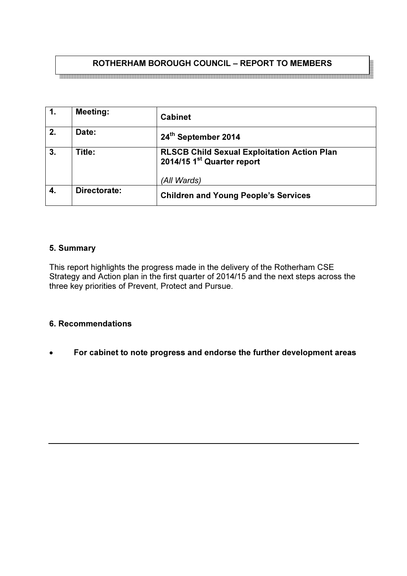## ROTHERHAM BOROUGH COUNCIL – REPORT TO MEMBERS

| $\mathbf{1}$     | <b>Meeting:</b> | <b>Cabinet</b>                                                                               |
|------------------|-----------------|----------------------------------------------------------------------------------------------|
| $\overline{2}$ . | Date:           | 24 <sup>th</sup> September 2014                                                              |
| 3.               | Title:          | <b>RLSCB Child Sexual Exploitation Action Plan</b><br>2014/15 1 <sup>st</sup> Quarter report |
|                  |                 | (All Wards)                                                                                  |
| 4.               | Directorate:    | <b>Children and Young People's Services</b>                                                  |

### 5. Summary

This report highlights the progress made in the delivery of the Rotherham CSE Strategy and Action plan in the first quarter of 2014/15 and the next steps across the three key priorities of Prevent, Protect and Pursue.

#### 6. Recommendations

• For cabinet to note progress and endorse the further development areas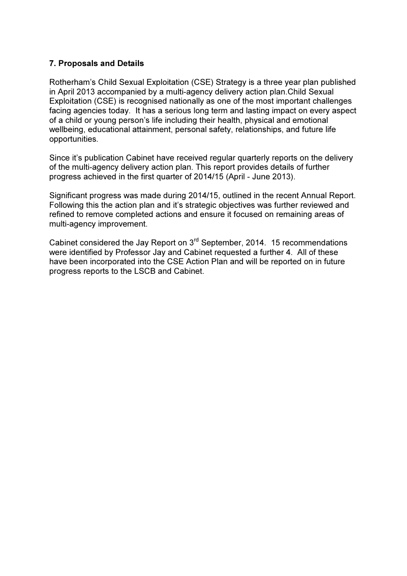#### 7. Proposals and Details

Rotherham's Child Sexual Exploitation (CSE) Strategy is a three year plan published in April 2013 accompanied by a multi-agency delivery action plan.Child Sexual Exploitation (CSE) is recognised nationally as one of the most important challenges facing agencies today. It has a serious long term and lasting impact on every aspect of a child or young person's life including their health, physical and emotional wellbeing, educational attainment, personal safety, relationships, and future life opportunities.

Since it's publication Cabinet have received regular quarterly reports on the delivery of the multi-agency delivery action plan. This report provides details of further progress achieved in the first quarter of 2014/15 (April - June 2013).

Significant progress was made during 2014/15, outlined in the recent Annual Report. Following this the action plan and it's strategic objectives was further reviewed and refined to remove completed actions and ensure it focused on remaining areas of multi-agency improvement.

Cabinet considered the Jay Report on 3rd September, 2014. 15 recommendations were identified by Professor Jay and Cabinet requested a further 4. All of these have been incorporated into the CSE Action Plan and will be reported on in future progress reports to the LSCB and Cabinet.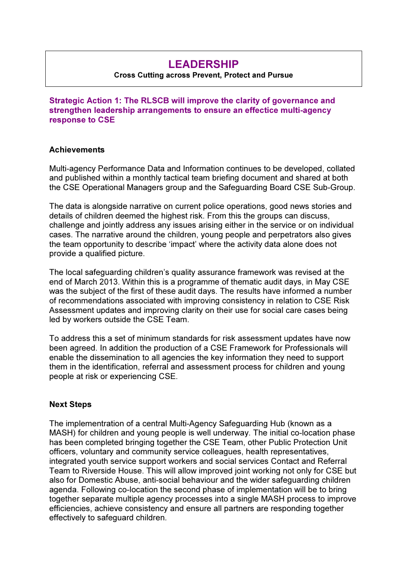# LEADERSHIP

#### Cross Cutting across Prevent, Protect and Pursue

Strategic Action 1: The RLSCB will improve the clarity of governance and strengthen leadership arrangements to ensure an effectice multi-agency response to CSE

#### **Achievements**

Multi-agency Performance Data and Information continues to be developed, collated and published within a monthly tactical team briefing document and shared at both the CSE Operational Managers group and the Safeguarding Board CSE Sub-Group.

The data is alongside narrative on current police operations, good news stories and details of children deemed the highest risk. From this the groups can discuss, challenge and jointly address any issues arising either in the service or on individual cases. The narrative around the children, young people and perpetrators also gives the team opportunity to describe 'impact' where the activity data alone does not provide a qualified picture.

The local safeguarding children's quality assurance framework was revised at the end of March 2013. Within this is a programme of thematic audit days, in May CSE was the subject of the first of these audit days. The results have informed a number of recommendations associated with improving consistency in relation to CSE Risk Assessment updates and improving clarity on their use for social care cases being led by workers outside the CSE Team.

To address this a set of minimum standards for risk assessment updates have now been agreed. In addition the production of a CSE Framework for Professionals will enable the dissemination to all agencies the key information they need to support them in the identification, referral and assessment process for children and young people at risk or experiencing CSE.

#### Next Steps

The implementration of a central Multi-Agency Safeguarding Hub (known as a MASH) for children and young people is well underway. The initial co-location phase has been completed bringing together the CSE Team, other Public Protection Unit officers, voluntary and community service colleagues, health representatives, integrated youth service support workers and social services Contact and Referral Team to Riverside House. This will allow improved joint working not only for CSE but also for Domestic Abuse, anti-social behaviour and the wider safeguarding children agenda. Following co-location the second phase of implementation will be to bring together separate multiple agency processes into a single MASH process to improve efficiencies, achieve consistency and ensure all partners are responding together effectively to safeguard children.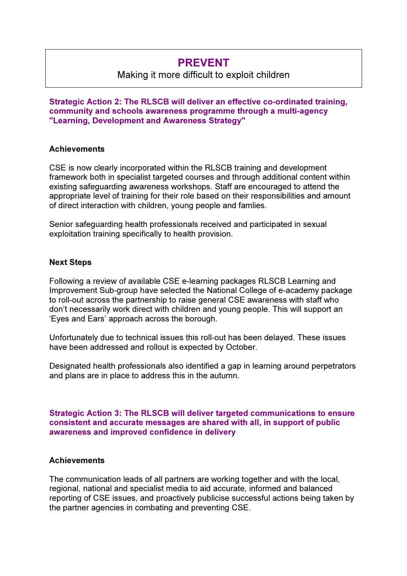# PREVENT

## Making it more difficult to exploit children

Strategic Action 2: The RLSCB will deliver an effective co-ordinated training, community and schools awareness programme through a multi-agency "Learning, Development and Awareness Strategy"

#### **Achievements**

CSE is now clearly incorporated within the RLSCB training and development framework both in specialist targeted courses and through additional content within existing safeguarding awareness workshops. Staff are encouraged to attend the appropriate level of training for their role based on their responsibilities and amount of direct interaction with children, young people and famlies.

Senior safeguarding health professionals received and participated in sexual exploitation training specifically to health provision.

#### Next Steps

Following a review of available CSE e-learning packages RLSCB Learning and Improvement Sub-group have selected the National College of e-academy package to roll-out across the partnership to raise general CSE awareness with staff who don't necessarily work direct with children and young people. This will support an 'Eyes and Ears' approach across the borough.

Unfortunately due to technical issues this roll-out has been delayed. These issues have been addressed and rollout is expected by October.

Designated health professionals also identified a gap in learning around perpetrators and plans are in place to address this in the autumn.

Strategic Action 3: The RLSCB will deliver targeted communications to ensure consistent and accurate messages are shared with all, in support of public awareness and improved confidence in delivery

#### **Achievements**

The communication leads of all partners are working together and with the local, regional, national and specialist media to aid accurate, informed and balanced reporting of CSE issues, and proactively publicise successful actions being taken by the partner agencies in combating and preventing CSE.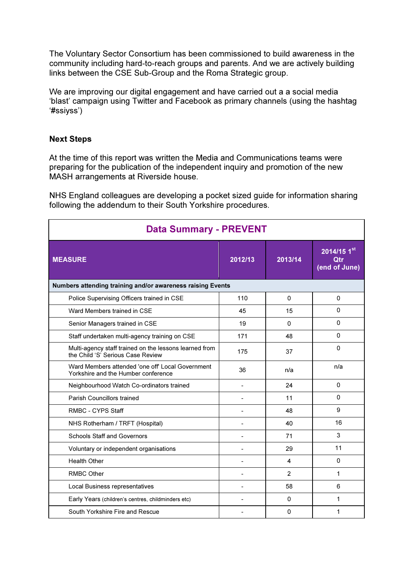The Voluntary Sector Consortium has been commissioned to build awareness in the community including hard-to-reach groups and parents. And we are actively building links between the CSE Sub-Group and the Roma Strategic group.

We are improving our digital engagement and have carried out a a social media 'blast' campaign using Twitter and Facebook as primary channels (using the hashtag '#ssiyss')

#### Next Steps

At the time of this report was written the Media and Communications teams were preparing for the publication of the independent inquiry and promotion of the new MASH arrangements at Riverside house.

NHS England colleagues are developing a pocket sized guide for information sharing following the addendum to their South Yorkshire procedures.

| <b>Data Summary - PREVENT</b>                                                               |         |                |                                                |
|---------------------------------------------------------------------------------------------|---------|----------------|------------------------------------------------|
| <b>MEASURE</b>                                                                              | 2012/13 | 2013/14        | $2014/151^{\text{st}}$<br>Otr<br>(end of June) |
| Numbers attending training and/or awareness raising Events                                  |         |                |                                                |
| Police Supervising Officers trained in CSE                                                  | 110     | $\Omega$       | $\Omega$                                       |
| Ward Members trained in CSE                                                                 | 45      | 15             | 0                                              |
| Senior Managers trained in CSE                                                              | 19      | $\Omega$       | $\Omega$                                       |
| Staff undertaken multi-agency training on CSE                                               | 171     | 48             | 0                                              |
| Multi-agency staff trained on the lessons learned from<br>the Child 'S' Serious Case Review | 175     | 37             | $\Omega$                                       |
| Ward Members attended 'one off Local Government<br>Yorkshire and the Humber conference      | 36      | n/a            | n/a                                            |
| Neighbourhood Watch Co-ordinators trained                                                   |         | 24             | 0                                              |
| <b>Parish Councillors trained</b>                                                           |         | 11             | $\Omega$                                       |
| RMBC - CYPS Staff                                                                           |         | 48             | 9                                              |
| NHS Rotherham / TRFT (Hospital)                                                             |         | 40             | 16                                             |
| <b>Schools Staff and Governors</b>                                                          |         | 71             | 3                                              |
| Voluntary or independent organisations                                                      |         | 29             | 11                                             |
| <b>Health Other</b>                                                                         |         | 4              | $\Omega$                                       |
| <b>RMBC Other</b>                                                                           |         | $\overline{2}$ | 1                                              |
| Local Business representatives                                                              |         | 58             | 6                                              |
| Early Years (children's centres, childminders etc)                                          |         | $\Omega$       | 1                                              |
| South Yorkshire Fire and Rescue                                                             |         | 0              | 1                                              |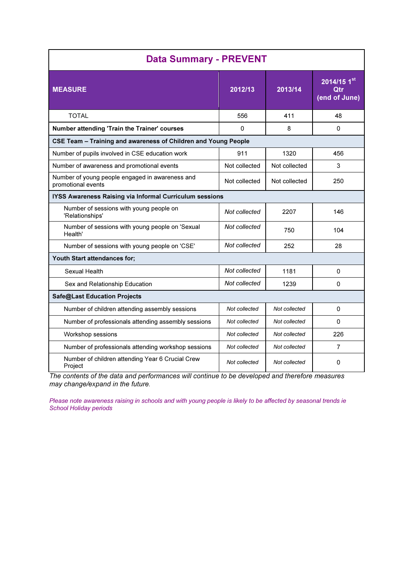| <b>Data Summary - PREVENT</b>                                         |               |               |                                     |
|-----------------------------------------------------------------------|---------------|---------------|-------------------------------------|
| <b>MEASURE</b>                                                        | 2012/13       | 2013/14       | 2014/15 1st<br>Otr<br>(end of June) |
| TOTAI                                                                 | 556           | 411           | 48                                  |
| Number attending 'Train the Trainer' courses                          | $\Omega$      | 8             | $\Omega$                            |
| CSE Team - Training and awareness of Children and Young People        |               |               |                                     |
| Number of pupils involved in CSE education work                       | 911           | 1320          | 456                                 |
| Number of awareness and promotional events                            | Not collected | Not collected | 3                                   |
| Number of young people engaged in awareness and<br>promotional events | Not collected | Not collected | 250                                 |
| IYSS Awareness Raising via Informal Curriculum sessions               |               |               |                                     |
| Number of sessions with young people on<br>'Relationships'            | Not collected | 2207          | 146                                 |
| Number of sessions with young people on 'Sexual<br>Health'            | Not collected | 750           | 104                                 |
| Number of sessions with young people on 'CSE'                         | Not collected | 252           | 28                                  |
| Youth Start attendances for;                                          |               |               |                                     |
| Sexual Health                                                         | Not collected | 1181          | 0                                   |
| Sex and Relationship Education                                        | Not collected | 1239          | $\Omega$                            |
| Safe@Last Education Projects                                          |               |               |                                     |
| Number of children attending assembly sessions                        | Not collected | Not collected | 0                                   |
| Number of professionals attending assembly sessions                   | Not collected | Not collected | $\Omega$                            |
| Workshop sessions                                                     | Not collected | Not collected | 226                                 |
| Number of professionals attending workshop sessions                   | Not collected | Not collected | $\overline{7}$                      |
| Number of children attending Year 6 Crucial Crew<br>Project           | Not collected | Not collected | $\Omega$                            |

The contents of the data and performances will continue to be developed and therefore measures may change/expand in the future.

Please note awareness raising in schools and with young people is likely to be affected by seasonal trends ie School Holiday periods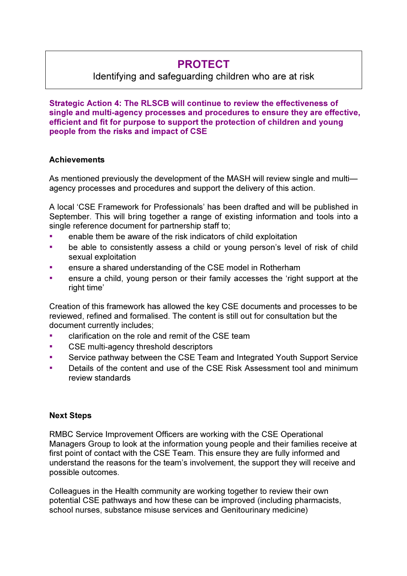# PROTECT

# Identifying and safeguarding children who are at risk

Strategic Action 4: The RLSCB will continue to review the effectiveness of single and multi-agency processes and procedures to ensure they are effective, efficient and fit for purpose to support the protection of children and young people from the risks and impact of CSE

#### **Achievements**

As mentioned previously the development of the MASH will review single and multi agency processes and procedures and support the delivery of this action.

A local 'CSE Framework for Professionals' has been drafted and will be published in September. This will bring together a range of existing information and tools into a single reference document for partnership staff to;

- enable them be aware of the risk indicators of child exploitation
- be able to consistently assess a child or young person's level of risk of child sexual exploitation
- ensure a shared understanding of the CSE model in Rotherham
- **•** ensure a child, young person or their family accesses the 'right support at the right time'

Creation of this framework has allowed the key CSE documents and processes to be reviewed, refined and formalised. The content is still out for consultation but the document currently includes;

- **•** clarification on the role and remit of the CSE team
- CSE multi-agency threshold descriptors
- Service pathway between the CSE Team and Integrated Youth Support Service
- Details of the content and use of the CSE Risk Assessment tool and minimum review standards

#### Next Steps

RMBC Service Improvement Officers are working with the CSE Operational Managers Group to look at the information young people and their families receive at first point of contact with the CSE Team. This ensure they are fully informed and understand the reasons for the team's involvement, the support they will receive and possible outcomes.

Colleagues in the Health community are working together to review their own potential CSE pathways and how these can be improved (including pharmacists, school nurses, substance misuse services and Genitourinary medicine)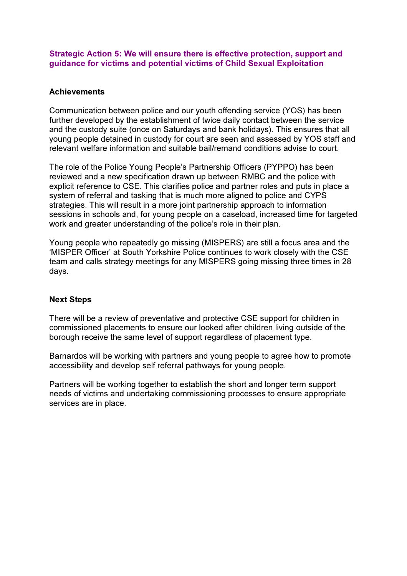Strategic Action 5: We will ensure there is effective protection, support and guidance for victims and potential victims of Child Sexual Exploitation

#### **Achievements**

Communication between police and our youth offending service (YOS) has been further developed by the establishment of twice daily contact between the service and the custody suite (once on Saturdays and bank holidays). This ensures that all young people detained in custody for court are seen and assessed by YOS staff and relevant welfare information and suitable bail/remand conditions advise to court.

The role of the Police Young People's Partnership Officers (PYPPO) has been reviewed and a new specification drawn up between RMBC and the police with explicit reference to CSE. This clarifies police and partner roles and puts in place a system of referral and tasking that is much more aligned to police and CYPS strategies. This will result in a more joint partnership approach to information sessions in schools and, for young people on a caseload, increased time for targeted work and greater understanding of the police's role in their plan.

Young people who repeatedly go missing (MISPERS) are still a focus area and the 'MISPER Officer' at South Yorkshire Police continues to work closely with the CSE team and calls strategy meetings for any MISPERS going missing three times in 28 days.

#### Next Steps

There will be a review of preventative and protective CSE support for children in commissioned placements to ensure our looked after children living outside of the borough receive the same level of support regardless of placement type.

Barnardos will be working with partners and young people to agree how to promote accessibility and develop self referral pathways for young people.

Partners will be working together to establish the short and longer term support needs of victims and undertaking commissioning processes to ensure appropriate services are in place.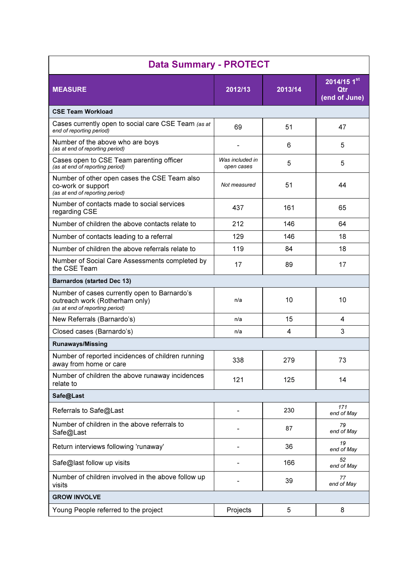| <b>Data Summary - PROTECT</b>                                                                                     |                               |         |                                       |
|-------------------------------------------------------------------------------------------------------------------|-------------------------------|---------|---------------------------------------|
| <b>MEASURE</b>                                                                                                    | 2012/13                       | 2013/14 | $2014/15$ 1st<br>Qtr<br>(end of June) |
| <b>CSE Team Workload</b>                                                                                          |                               |         |                                       |
| Cases currently open to social care CSE Team (as at<br>end of reporting period)                                   | 69                            | 51      | 47                                    |
| Number of the above who are boys<br>(as at end of reporting period)                                               |                               | 6       | 5                                     |
| Cases open to CSE Team parenting officer<br>(as at end of reporting period)                                       | Was included in<br>open cases | 5       | 5                                     |
| Number of other open cases the CSE Team also<br>co-work or support<br>(as at end of reporting period)             | Not measured                  | 51      | 44                                    |
| Number of contacts made to social services<br>regarding CSE                                                       | 437                           | 161     | 65                                    |
| Number of children the above contacts relate to                                                                   | 212                           | 146     | 64                                    |
| Number of contacts leading to a referral                                                                          | 129                           | 146     | 18                                    |
| Number of children the above referrals relate to                                                                  | 119                           | 84      | 18                                    |
| Number of Social Care Assessments completed by<br>the CSE Team                                                    | 17                            | 89      | 17                                    |
| <b>Barnardos (started Dec 13)</b>                                                                                 |                               |         |                                       |
| Number of cases currently open to Barnardo's<br>outreach work (Rotherham only)<br>(as at end of reporting period) | n/a                           | 10      | 10                                    |
| New Referrals (Barnardo's)                                                                                        | n/a                           | 15      | 4                                     |
| Closed cases (Barnardo's)                                                                                         | n/a                           | 4       | 3                                     |
| <b>Runaways/Missing</b>                                                                                           |                               |         |                                       |
| Number of reported incidences of children running<br>away from home or care                                       | 338                           | 279     | 73                                    |
| Number of children the above runaway incidences<br>relate to                                                      | 121                           | 125     | 14                                    |
| Safe@Last                                                                                                         |                               |         |                                       |
| Referrals to Safe@Last                                                                                            |                               | 230     | 171<br>end of May                     |
| Number of children in the above referrals to<br>Safe@Last                                                         |                               | 87      | 79<br>end of May                      |
| Return interviews following 'runaway'                                                                             |                               | 36      | 19<br>end of May                      |
| Safe@last follow up visits                                                                                        |                               | 166     | 52<br>end of May                      |
| Number of children involved in the above follow up<br>visits                                                      |                               | 39      | 77<br>end of May                      |
| <b>GROW INVOLVE</b>                                                                                               |                               |         |                                       |
| Young People referred to the project                                                                              | Projects                      | 5       | 8                                     |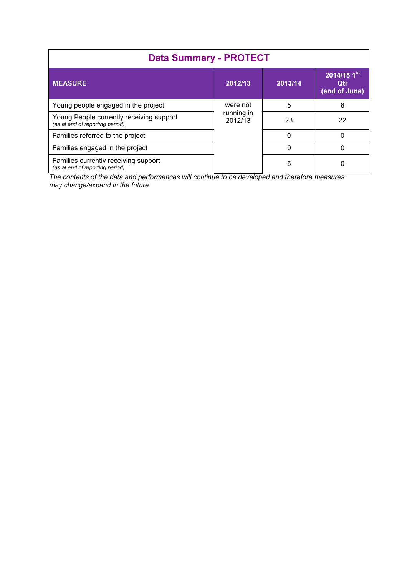| <b>Data Summary - PROTECT</b>                                               |                       |          |                                                     |
|-----------------------------------------------------------------------------|-----------------------|----------|-----------------------------------------------------|
| <b>MEASURE</b>                                                              | 2012/13               | 2013/14  | 2014/15 $1^{\rm st}$<br><b>Qtr</b><br>(end of June) |
| Young people engaged in the project                                         | were not              | 5        | 8                                                   |
| Young People currently receiving support<br>(as at end of reporting period) | running in<br>2012/13 | 23       | 22                                                  |
| Families referred to the project                                            |                       | O        |                                                     |
| Families engaged in the project                                             |                       | $\Omega$ |                                                     |
| Families currently receiving support<br>(as at end of reporting period)     |                       | 5        |                                                     |

The contents of the data and performances will continue to be developed and therefore measures may change/expand in the future.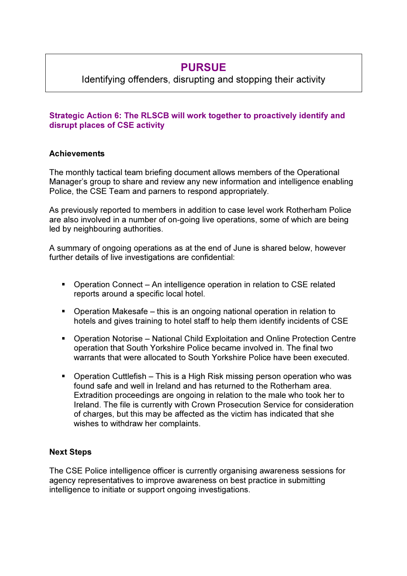# PURSUE

Identifying offenders, disrupting and stopping their activity

## Strategic Action 6: The RLSCB will work together to proactively identify and disrupt places of CSE activity

### **Achievements**

The monthly tactical team briefing document allows members of the Operational Manager's group to share and review any new information and intelligence enabling Police, the CSE Team and parners to respond appropriately.

As previously reported to members in addition to case level work Rotherham Police are also involved in a number of on-going live operations, some of which are being led by neighbouring authorities.

A summary of ongoing operations as at the end of June is shared below, however further details of live investigations are confidential:

- Operation Connect An intelligence operation in relation to CSE related reports around a specific local hotel.
- Operation Makesafe this is an ongoing national operation in relation to hotels and gives training to hotel staff to help them identify incidents of CSE
- Operation Notorise National Child Exploitation and Online Protection Centre operation that South Yorkshire Police became involved in. The final two warrants that were allocated to South Yorkshire Police have been executed.
- Operation Cuttlefish This is a High Risk missing person operation who was found safe and well in Ireland and has returned to the Rotherham area. Extradition proceedings are ongoing in relation to the male who took her to Ireland. The file is currently with Crown Prosecution Service for consideration of charges, but this may be affected as the victim has indicated that she wishes to withdraw her complaints.

## Next Steps

The CSE Police intelligence officer is currently organising awareness sessions for agency representatives to improve awareness on best practice in submitting intelligence to initiate or support ongoing investigations.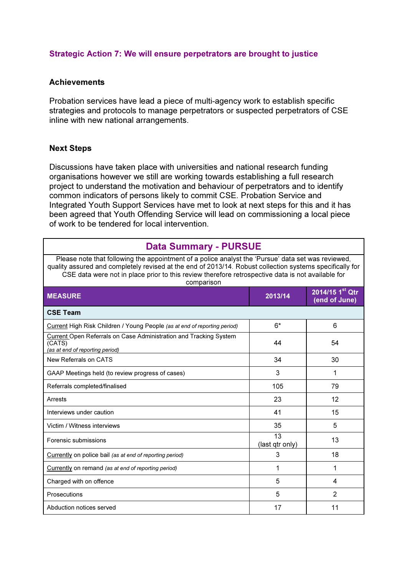#### Strategic Action 7: We will ensure perpetrators are brought to justice

#### **Achievements**

Probation services have lead a piece of multi-agency work to establish specific strategies and protocols to manage perpetrators or suspected perpetrators of CSE inline with new national arrangements.

#### Next Steps

Discussions have taken place with universities and national research funding organisations however we still are working towards establishing a full research project to understand the motivation and behaviour of perpetrators and to identify common indicators of persons likely to commit CSE. Probation Service and Integrated Youth Support Services have met to look at next steps for this and it has been agreed that Youth Offending Service will lead on commissioning a local piece of work to be tendered for local intervention.

## Data Summary - PURSUE

Please note that following the appointment of a police analyst the 'Pursue' data set was reviewed, quality assured and completely revised at the end of 2013/14. Robust collection systems specifically for CSE data were not in place prior to this review therefore retrospective data is not available for

| comparison                                                                                                     |                       |                                                |
|----------------------------------------------------------------------------------------------------------------|-----------------------|------------------------------------------------|
| <b>MEASURE</b>                                                                                                 | 2013/14               | $2014/15$ 1 <sup>st</sup> Qtr<br>(end of June) |
| <b>CSE Team</b>                                                                                                |                       |                                                |
| Current High Risk Children / Young People (as at end of reporting period)                                      | $6*$                  | 6                                              |
| Current Open Referrals on Case Administration and Tracking System<br>(CATS)<br>(as at end of reporting period) | 44                    | 54                                             |
| New Referrals on CATS                                                                                          | 34                    | 30                                             |
| GAAP Meetings held (to review progress of cases)                                                               | 3                     | 1                                              |
| Referrals completed/finalised                                                                                  | 105                   | 79                                             |
| Arrests                                                                                                        | 23                    | 12                                             |
| Interviews under caution                                                                                       | 41                    | 15                                             |
| Victim / Witness interviews                                                                                    | 35                    | 5                                              |
| Forensic submissions                                                                                           | 13<br>(last qtr only) | 13                                             |
| Currently on police bail (as at end of reporting period)                                                       | 3                     | 18                                             |
| Currently on remand (as at end of reporting period)                                                            | 1                     | 1                                              |
| Charged with on offence                                                                                        | 5                     | 4                                              |
| Prosecutions                                                                                                   | 5                     | $\overline{2}$                                 |
| Abduction notices served                                                                                       | 17                    | 11                                             |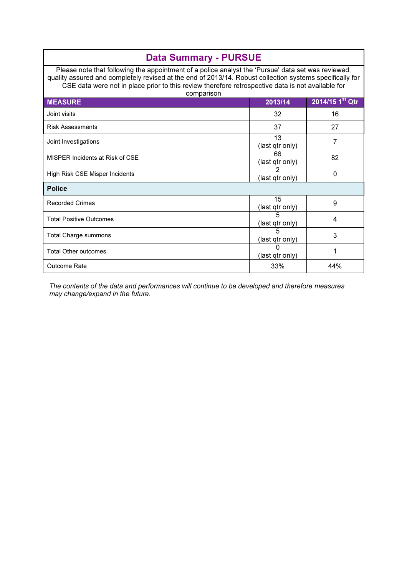| <b>Data Summary - PURSUE</b>                                                                                                                                                                                                                                                                                                      |                       |                             |
|-----------------------------------------------------------------------------------------------------------------------------------------------------------------------------------------------------------------------------------------------------------------------------------------------------------------------------------|-----------------------|-----------------------------|
| Please note that following the appointment of a police analyst the 'Pursue' data set was reviewed,<br>quality assured and completely revised at the end of 2013/14. Robust collection systems specifically for<br>CSE data were not in place prior to this review therefore retrospective data is not available for<br>comparison |                       |                             |
| <b>MEASURE</b>                                                                                                                                                                                                                                                                                                                    | 2013/14               | 2014/15 1 <sup>st</sup> Qtr |
| Joint visits                                                                                                                                                                                                                                                                                                                      | 32                    | 16                          |
| <b>Risk Assessments</b>                                                                                                                                                                                                                                                                                                           | 37                    | 27                          |
| Joint Investigations                                                                                                                                                                                                                                                                                                              | 13<br>(last qtr only) | 7                           |
| MISPER Incidents at Risk of CSE                                                                                                                                                                                                                                                                                                   | 66<br>(last qtr only) | 82                          |
| High Risk CSE Misper Incidents                                                                                                                                                                                                                                                                                                    | 2<br>(last qtr only)  | 0                           |
| <b>Police</b>                                                                                                                                                                                                                                                                                                                     |                       |                             |
| <b>Recorded Crimes</b>                                                                                                                                                                                                                                                                                                            | 15<br>(last qtr only) | 9                           |
| <b>Total Positive Outcomes</b>                                                                                                                                                                                                                                                                                                    | (last qtr only)       | 4                           |
| <b>Total Charge summons</b>                                                                                                                                                                                                                                                                                                       | 5<br>(last qtr only)  | 3                           |
| <b>Total Other outcomes</b>                                                                                                                                                                                                                                                                                                       | (last qtr only)       | 1                           |
| Outcome Rate                                                                                                                                                                                                                                                                                                                      | 33%                   | 44%                         |

The contents of the data and performances will continue to be developed and therefore measures may change/expand in the future.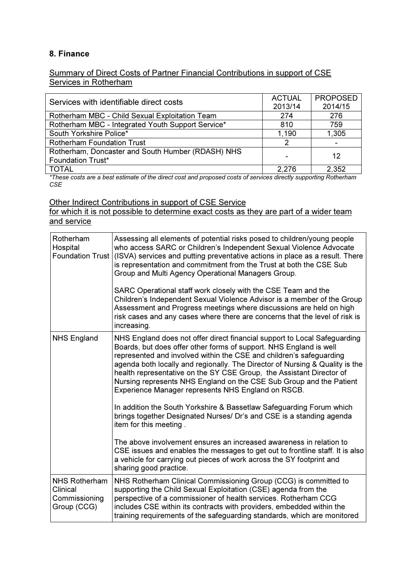### 8. Finance

#### Summary of Direct Costs of Partner Financial Contributions in support of CSE Services in Rotherham

| Services with identifiable direct costs           | <b>ACTUAL</b> | <b>PROPOSED</b> |
|---------------------------------------------------|---------------|-----------------|
|                                                   | 2013/14       | 2014/15         |
| Rotherham MBC - Child Sexual Exploitation Team    | 274           | 276             |
| Rotherham MBC - Integrated Youth Support Service* | 810           | 759             |
| South Yorkshire Police*                           | 1,190         | 1,305           |
| <b>Rotherham Foundation Trust</b>                 |               |                 |
| Rotherham, Doncaster and South Humber (RDASH) NHS |               | 12              |
| <b>Foundation Trust*</b>                          |               |                 |
| <b>TOTAL</b>                                      | 2.276         | 2,352           |

\*These costs are a best estimate of the direct cost and proposed costs of services directly supporting Rotherham CSE

Other Indirect Contributions in support of CSE Service

for which it is not possible to determine exact costs as they are part of a wider team and service

| Rotherham<br>Hospital                                            | Assessing all elements of potential risks posed to children/young people<br>who access SARC or Children's Independent Sexual Violence Advocate<br>Foundation Trust (ISVA) services and putting preventative actions in place as a result. There<br>is representation and commitment from the Trust at both the CSE Sub<br>Group and Multi Agency Operational Managers Group.                                                                                                                                |
|------------------------------------------------------------------|-------------------------------------------------------------------------------------------------------------------------------------------------------------------------------------------------------------------------------------------------------------------------------------------------------------------------------------------------------------------------------------------------------------------------------------------------------------------------------------------------------------|
|                                                                  | SARC Operational staff work closely with the CSE Team and the<br>Children's Independent Sexual Violence Advisor is a member of the Group<br>Assessment and Progress meetings where discussions are held on high<br>risk cases and any cases where there are concerns that the level of risk is<br>increasing.                                                                                                                                                                                               |
| <b>NHS England</b>                                               | NHS England does not offer direct financial support to Local Safeguarding<br>Boards, but does offer other forms of support. NHS England is well<br>represented and involved within the CSE and children's safeguarding<br>agenda both locally and regionally. The Director of Nursing & Quality is the<br>health representative on the SY CSE Group, the Assistant Director of<br>Nursing represents NHS England on the CSE Sub Group and the Patient<br>Experience Manager represents NHS England on RSCB. |
|                                                                  | In addition the South Yorkshire & Bassetlaw Safeguarding Forum which<br>brings together Designated Nurses/ Dr's and CSE is a standing agenda<br>item for this meeting.                                                                                                                                                                                                                                                                                                                                      |
|                                                                  | The above involvement ensures an increased awareness in relation to<br>CSE issues and enables the messages to get out to frontline staff. It is also<br>a vehicle for carrying out pieces of work across the SY footprint and<br>sharing good practice.                                                                                                                                                                                                                                                     |
| <b>NHS Rotherham</b><br>Clinical<br>Commissioning<br>Group (CCG) | NHS Rotherham Clinical Commissioning Group (CCG) is committed to<br>supporting the Child Sexual Exploitation (CSE) agenda from the<br>perspective of a commissioner of health services. Rotherham CCG<br>includes CSE within its contracts with providers, embedded within the<br>training requirements of the safeguarding standards, which are monitored                                                                                                                                                  |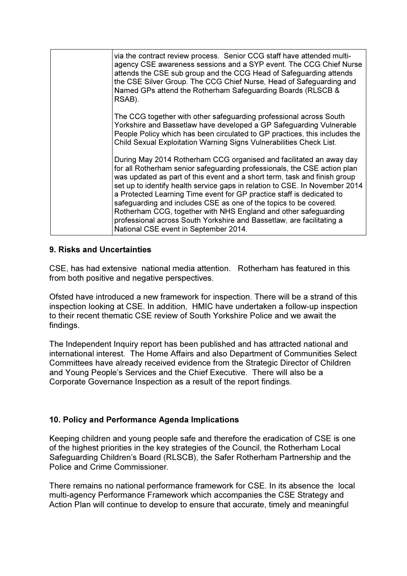| via the contract review process. Senior CCG staff have attended multi-<br>agency CSE awareness sessions and a SYP event. The CCG Chief Nurse<br>attends the CSE sub group and the CCG Head of Safeguarding attends<br>the CSE Silver Group. The CCG Chief Nurse, Head of Safeguarding and<br>Named GPs attend the Rotherham Safeguarding Boards (RLSCB &<br>RSAB).                                                                                                                                                                                                                                                                             |
|------------------------------------------------------------------------------------------------------------------------------------------------------------------------------------------------------------------------------------------------------------------------------------------------------------------------------------------------------------------------------------------------------------------------------------------------------------------------------------------------------------------------------------------------------------------------------------------------------------------------------------------------|
| The CCG together with other safeguarding professional across South<br>Yorkshire and Bassetlaw have developed a GP Safeguarding Vulnerable<br>People Policy which has been circulated to GP practices, this includes the<br>Child Sexual Exploitation Warning Signs Vulnerabilities Check List.                                                                                                                                                                                                                                                                                                                                                 |
| During May 2014 Rotherham CCG organised and facilitated an away day<br>for all Rotherham senior safeguarding professionals, the CSE action plan<br>was updated as part of this event and a short term, task and finish group<br>set up to identify health service gaps in relation to CSE. In November 2014<br>a Protected Learning Time event for GP practice staff is dedicated to<br>safeguarding and includes CSE as one of the topics to be covered.<br>Rotherham CCG, together with NHS England and other safeguarding<br>professional across South Yorkshire and Bassetlaw, are facilitating a<br>National CSE event in September 2014. |

#### 9. Risks and Uncertainties

CSE, has had extensive national media attention. Rotherham has featured in this from both positive and negative perspectives.

Ofsted have introduced a new framework for inspection. There will be a strand of this inspection looking at CSE. In addition, HMIC have undertaken a follow-up inspection to their recent thematic CSE review of South Yorkshire Police and we await the findings.

The Independent Inquiry report has been published and has attracted national and international interest. The Home Affairs and also Department of Communities Select Committees have already received evidence from the Strategic Director of Children and Young People's Services and the Chief Executive. There will also be a Corporate Governance Inspection as a result of the report findings.

## 10. Policy and Performance Agenda Implications

Keeping children and young people safe and therefore the eradication of CSE is one of the highest priorities in the key strategies of the Council, the Rotherham Local Safeguarding Children's Board (RLSCB), the Safer Rotherham Partnership and the Police and Crime Commissioner.

There remains no national performance framework for CSE. In its absence the local multi-agency Performance Framework which accompanies the CSE Strategy and Action Plan will continue to develop to ensure that accurate, timely and meaningful